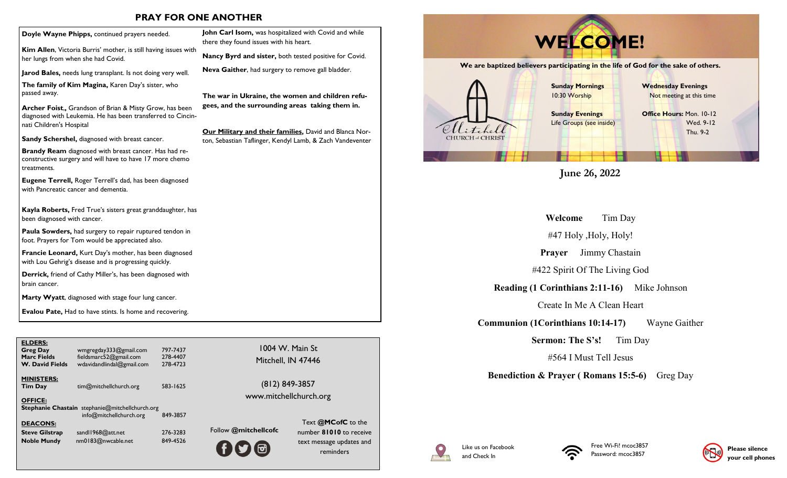### **PRAY FOR ONE ANOTHER**

**Kim Allen**, Victoria Burris' mother, is still having issues with her lungs from when she had Covid.

**Jarod Bales,** needs lung transplant. Is not doing very well.

**The family of Kim Magina,** Karen Day's sister, who passed away.

**Archer Foist**,**,** Grandson of Brian & Misty Grow, has been diagnosed with Leukemia. He has been transferred to Cincinnati Children's Hospital

**Sandy Schershel,** diagnosed with breast cancer.

**Brandy Ream** diagnosed with breast cancer. Has had reconstructive surgery and will have to have 17 more chemo treatments.

**Eugene Terrell,** Roger Terrell's dad, has been diagnosed with Pancreatic cancer and dementia.

**Kayla Roberts,** Fred True's sisters great granddaughter, has been diagnosed with cancer.

**Paula Sowders,** had surgery to repair ruptured tendon in foot. Prayers for Tom would be appreciated also.

**Francie Leonard,** Kurt Day's mother, has been diagnosed with Lou Gehrig's disease and is progressing quickly.

**Derrick,** friend of Cathy Miller's, has been diagnosed with brain cancer.

**Marty Wyatt**, diagnosed with stage four lung cancer.

**Evalou Pate,** Had to have stints. Is home and recovering.

| <b>ELDERS:</b><br><b>Greg Day</b><br><b>Marc Fields</b><br><b>W. David Fields</b> | wmgregday333@gmail.com<br>fieldsmarc52@gmail.com<br>wdavidandlindal@gmail.com     | 797-7437<br>278-4407<br>278-4723 | 1004 '<br>Mitche     |
|-----------------------------------------------------------------------------------|-----------------------------------------------------------------------------------|----------------------------------|----------------------|
| <b>MINISTERS:</b><br><b>Tim Day</b>                                               | tim@mitchellchurch.org                                                            | 583-1625                         | (812)<br>www.mitc    |
| <b>OFFICE:</b>                                                                    | <b>Stephanie Chastain</b> stephanie@mitchellchurch.org<br>info@mitchellchurch.org | 849-3857                         |                      |
| <b>DEACONS:</b><br><b>Steve Gilstrap</b>                                          | sandl1968@att.net                                                                 | 276-3283                         | Follow @mitchellcofc |
| <b>Noble Mundy</b>                                                                | nm0183@nwcable.net                                                                | 849-4526                         |                      |

**John Carl Isom,** was hospitalized with Covid and while there they found issues with his heart.

**Nancy Byrd and sister,** both tested positive for Covid.

**Neva Gaither**, had surgery to remove gall bladder.

**The war in Ukraine, the women and children refugees, and the surrounding areas taking them in.**

**Our Military and their families,** David and Blanca Norton, Sebastian Taflinger, Kendyl Lamb, & Zach Vandeventer

> 1004 W. Main St Mitchell, IN 47446

(812) 849-3857 www.mitchellchurch.org

# **We are baptized believers participating in the life of God for the sake of others. Doyle Wayne Phipps, continued prayers needed.** John Carl Isom, was hospitalized with Covid and while<br>there they found issues with his heart. **WELCOME!**



**June 26, 2022**

**Welcome** Tim Day

#47 Holy ,Holy, Holy!

**Prayer** Jimmy Chastain

#422 Spirit Of The Living God

**Reading (1 Corinthians 2:11-16)** Mike Johnson

Create In Me A Clean Heart

**Communion (1Corinthians 10:14-17)** Wayne Gaither

**Sermon: The S's!** Tim Day

#564 I Must Tell Jesus

**Benediction & Prayer ( Romans 15:5-6)** Greg Day



Text **@MCofC** to the